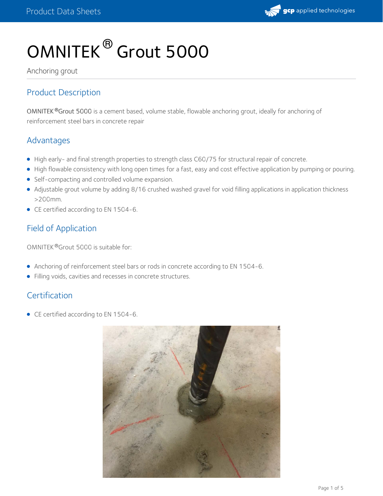

# OMNITEK ® Grout 5000

Anchoring grout

# Product Description

OMNITEK Grout 5000 is a cement based, volume stable, flowable anchoring grout, ideally for anchoring of **®** reinforcement steel bars in concrete repair

# Advantages

- High early- and final strength properties to strength class C60/75 for structural repair of concrete.
- High flowable consistency with long open times for a fast, easy and cost effective application by pumping or pouring.
- Self-compacting and controlled volume expansion.
- Adjustable grout volume by adding 8/16 crushed washed gravel for void filling applications in application thickness >200mm.
- CE certified according to EN 1504-6.

# Field of Application

OMNITEK ® Grout 5000 is suitable for:

- Anchoring of reinforcement steel bars or rods in concrete according to EN 1504-6.
- Filling voids, cavities and recesses in concrete structures.

# **Certification**

• CE certified according to EN 1504-6.

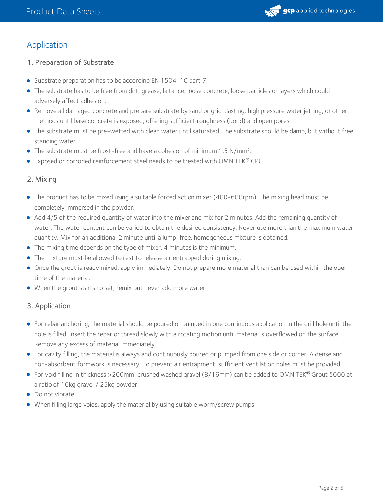

# Application

## 1. Preparation of Substrate

- Substrate preparation has to be according EN 1504-10 part 7.
- The substrate has to be free from dirt, grease, laitance, loose concrete, loose particles or layers which could adversely affect adhesion.
- Remove all damaged concrete and prepare substrate by sand or grid blasting, high pressure water jetting, or other methods until base concrete is exposed, offering sufficient roughness (bond) and open pores.
- The substrate must be pre-wetted with clean water until saturated. The substrate should be damp, but without free standing water.
- The substrate must be frost-free and have a cohesion of minimum 1.5 N/mm².
- Exposed or corroded reinforcement steel needs to be treated with OMNITEK® CPC.

## 2. Mixing

- The product has to be mixed using a suitable forced action mixer (400-600rpm). The mixing head must be completely immersed in the powder.
- Add 4/5 of the required quantity of water into the mixer and mix for 2 minutes. Add the remaining quantity of water. The water content can be varied to obtain the desired consistency. Never use more than the maximum water quantity. Mix for an additional 2 minute until a lump-free, homogeneous mixture is obtained.
- The mixing time depends on the type of mixer. 4 minutes is the minimum.
- The mixture must be allowed to rest to release air entrapped during mixing.
- Once the grout is ready mixed, apply immediately. Do not prepare more material than can be used within the open time of the material.
- When the grout starts to set, remix but never add more water.

## 3. Application

- For rebar anchoring, the material should be poured or pumped in one continuous application in the drill hole until the hole is filled. Insert the rebar or thread slowly with a rotating motion until material is overflowed on the surface. Remove any excess of material immediately.
- For cavity filling, the material is always and continuously poured or pumped from one side or corner. A dense and non-absorbent formwork is necessary. To prevent air entrapment, sufficient ventilation holes must be provided.
- For void filling in thickness >200mm, crushed washed gravel (8/16mm) can be added to OMNITEK® Grout 5000 at a ratio of 16kg gravel / 25kg powder.
- Do not vibrate.
- When filling large voids, apply the material by using suitable worm/screw pumps.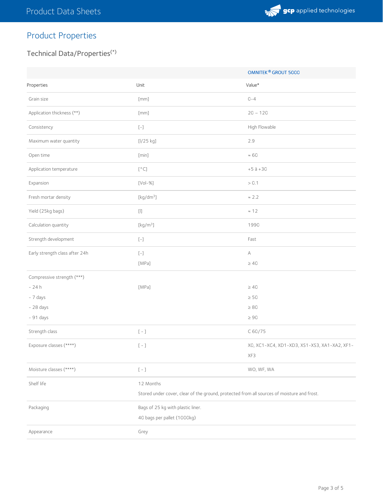

# Product Properties

## Technical Data/Properties (\*)

|                                |                                                                                            | OMNITEK <sup>®</sup> GROUT 5000              |  |
|--------------------------------|--------------------------------------------------------------------------------------------|----------------------------------------------|--|
| Properties                     | Unit                                                                                       | Value*                                       |  |
| Grain size                     | [mm]                                                                                       | $0 - 4$                                      |  |
| Application thickness (**)     | [mm]                                                                                       | $20 - 120$                                   |  |
| Consistency                    | $\left[\begin{smallmatrix} - \end{smallmatrix}\right]$                                     | High Flowable                                |  |
| Maximum water quantity         | [1/25 kg]                                                                                  | 2.9                                          |  |
| Open time                      | [min]                                                                                      | $\approx 60$                                 |  |
| Application temperature        | $\left[\begin{smallmatrix}\circ & & \\ & \circ & \circ \end{smallmatrix}\right]$           | $+5$ à $+30$                                 |  |
| Expansion                      | $[Vol- \% ]$                                                                               | > 0.1                                        |  |
| Fresh mortar density           | [kg/dm <sup>3</sup> ]                                                                      | $\approx 2.2$                                |  |
| Yield (25kg bags)              | $\left[ \left\vert {}\right] \right]$                                                      | $\approx$ 12                                 |  |
| Calculation quantity           | $\left[\mathrm{kg}/\mathrm{m}^3\right]$                                                    | 1990                                         |  |
| Strength development           | $\left[\begin{smallmatrix} - \end{smallmatrix}\right]$                                     | Fast                                         |  |
| Early strength class after 24h | $\left[\begin{smallmatrix} - \end{smallmatrix}\right]$                                     | А                                            |  |
|                                | [MPa]                                                                                      | $\geq 40$                                    |  |
| Compressive strength (***)     |                                                                                            |                                              |  |
| $-24h$                         | [MPa]                                                                                      | $\geq 40$                                    |  |
| - 7 days                       |                                                                                            | $\geq 50$                                    |  |
| $-28$ days                     |                                                                                            | $\geq 80$                                    |  |
| - 91 days                      |                                                                                            | $\geq 90$                                    |  |
| Strength class                 | $\left[\begin{array}{c} - \end{array}\right]$                                              | C 60/75                                      |  |
| Exposure classes (****)        | $\left[\begin{array}{cc} - \end{array}\right]$                                             | XO, XC1-XC4, XD1-XD3, XS1-XS3, XA1-XA2, XF1- |  |
|                                |                                                                                            | XF3                                          |  |
| Moisture classes (****)        | $\left[\begin{array}{cc} - \end{array}\right]$                                             | WO, WF, WA                                   |  |
| Shelf life                     | 12 Months                                                                                  |                                              |  |
|                                | Stored under cover, clear of the ground, protected from all sources of moisture and frost. |                                              |  |
| Packaging                      | Bags of 25 kg with plastic liner.                                                          |                                              |  |
|                                | 40 bags per pallet (1000kg)                                                                |                                              |  |
| Appearance                     | Grey                                                                                       |                                              |  |
|                                |                                                                                            |                                              |  |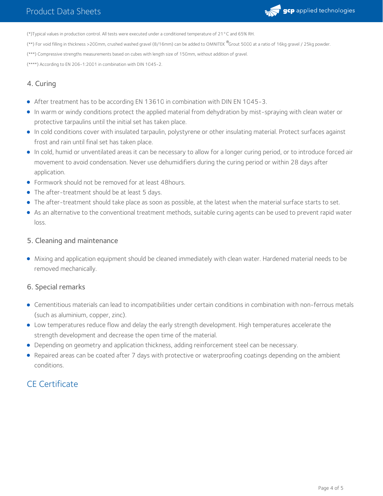

(\*)Typical values in production control. All tests were executed under a conditioned temperature of 21°C and 65% RH.

(\*\*) For void filling in thickness >200mm, crushed washed gravel (8/16mm) can be added to OMNITEK <sup>®</sup>Grout 5000 at a ratio of 16kg gravel / 25kg powder.

(\*\*\*) Compressive strengths measurements based on cubes with length size of 150mm, without addition of gravel.

(\*\*\*\*) According to EN 206-1:2001 in combination with DIN 1045-2.

## 4. Curing

- After treatment has to be according EN 13610 in combination with DIN EN 1045-3.
- In warm or windy conditions protect the applied material from dehydration by mist-spraying with clean water or protective tarpaulins until the initial set has taken place.
- In cold conditions cover with insulated tarpaulin, polystyrene or other insulating material. Protect surfaces against frost and rain until final set has taken place.
- In cold, humid or unventilated areas it can be necessary to allow for a longer curing period, or to introduce forced air movement to avoid condensation. Never use dehumidifiers during the curing period or within 28 days after application.
- Formwork should not be removed for at least 48hours.
- The after-treatment should be at least 5 days.
- The after-treatment should take place as soon as possible, at the latest when the material surface starts to set.
- As an alternative to the conventional treatment methods, suitable curing agents can be used to prevent rapid water loss.

#### 5. Cleaning and maintenance

Mixing and application equipment should be cleaned immediately with clean water. Hardened material needs to be removed mechanically.

## 6. Special remarks

- Cementitious materials can lead to incompatibilities under certain conditions in combination with non-ferrous metals (such as aluminium, copper, zinc).
- Low temperatures reduce flow and delay the early strength development. High temperatures accelerate the strength development and decrease the open time of the material.
- Depending on geometry and application thickness, adding reinforcement steel can be necessary.
- Repaired areas can be coated after 7 days with protective or waterproofing coatings depending on the ambient conditions.

# CE Certificate